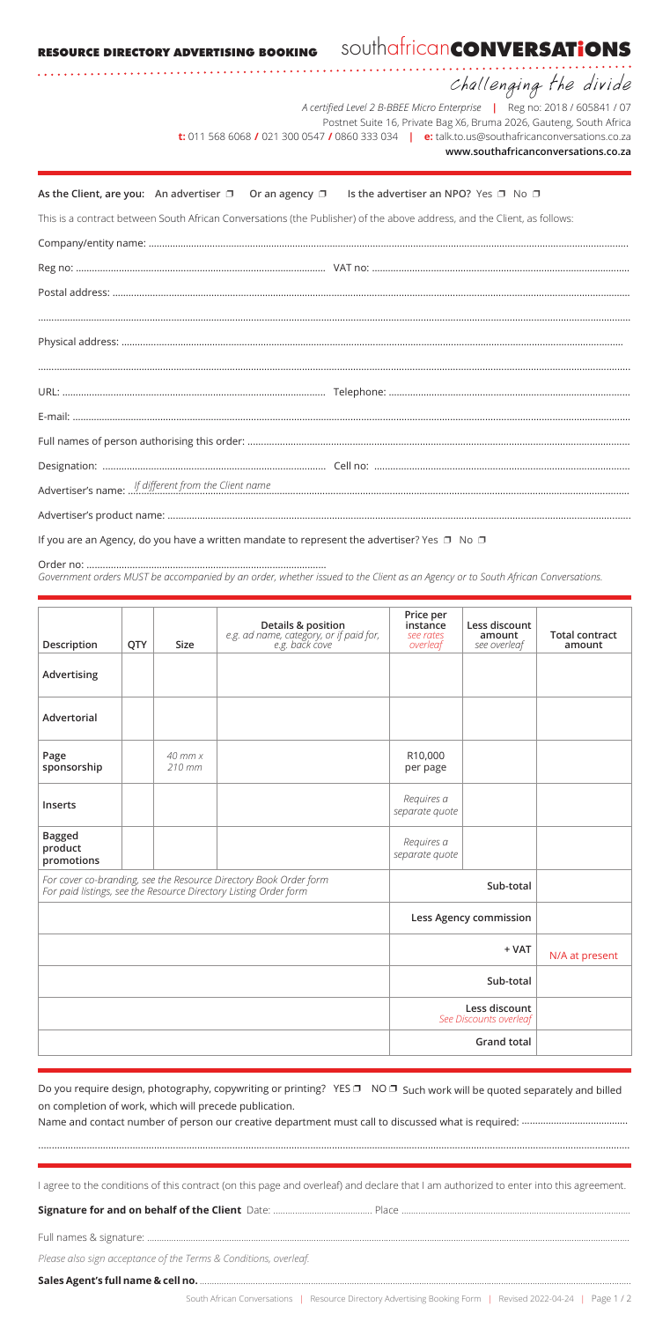# Challenging the divide

## southafrican**CONVERSATiONS** RESOURCE DIRECTORY ADVERTISING BOOKING

*A certified Level 2 B-BBEE Micro Enterprise* **|** Reg no: 2018 / 605841 / 07 Postnet Suite 16, Private Bag X6, Bruma 2026, Gauteng, South Africa **t:** 011 568 6068 **/** 021 300 0547 **/** 0860 333 034 **| e:** talk.to.us@southafricanconversations.co.za **www.southafricanconversations.co.za**

South African Conversations | Resource Directory Advertising Booking Form | Revised 2022-04-24 | Page 1 / 2

|  | As the Client, are you: An advertiser $\Box$ Or an agency $\Box$ Is the advertiser an NPO? Yes $\Box$ No $\Box$          |                                                                                                                |
|--|--------------------------------------------------------------------------------------------------------------------------|----------------------------------------------------------------------------------------------------------------|
|  | This is a contract between South African Conversations (the Publisher) of the above address, and the Client, as follows: |                                                                                                                |
|  |                                                                                                                          |                                                                                                                |
|  |                                                                                                                          |                                                                                                                |
|  |                                                                                                                          |                                                                                                                |
|  |                                                                                                                          |                                                                                                                |
|  |                                                                                                                          |                                                                                                                |
|  |                                                                                                                          |                                                                                                                |
|  |                                                                                                                          |                                                                                                                |
|  |                                                                                                                          |                                                                                                                |
|  |                                                                                                                          |                                                                                                                |
|  |                                                                                                                          |                                                                                                                |
|  |                                                                                                                          | Advertiser's name: form the Client name http://www.community.com/integratiser's name: formation of client name |
|  |                                                                                                                          |                                                                                                                |

If you are an Agency, do you have a written mandate to represent the advertiser? Yes  $\Box$  No  $\Box$ 

Do you require design, photography, copywriting or printing? YES  $\Box$  NO  $\Box$  Such work will be quoted separately and billed on completion of work, which will precede publication.

Name and contact number of person our creative department must call to discussed what is required: ………………………………………

Order no: ......................................................................................... *Government orders MUST be accompanied by an order, whether issued to the Client as an Agency or to South African Conversations.*

| Description                                                                                                                           | QTY | <b>Size</b>           | <b>Details &amp; position</b><br>e.g. ad name, category, or if paid for,<br>e.g. back cove | Price per<br>instance<br>see rates<br>overleaf | Less discount<br>amount<br>see overleaf | <b>Total contract</b><br>amount |
|---------------------------------------------------------------------------------------------------------------------------------------|-----|-----------------------|--------------------------------------------------------------------------------------------|------------------------------------------------|-----------------------------------------|---------------------------------|
| Advertising                                                                                                                           |     |                       |                                                                                            |                                                |                                         |                                 |
| Advertorial                                                                                                                           |     |                       |                                                                                            |                                                |                                         |                                 |
| Page<br>sponsorship                                                                                                                   |     | $40$ mm $x$<br>210 mm |                                                                                            | R10,000<br>per page                            |                                         |                                 |
| Inserts                                                                                                                               |     |                       |                                                                                            | Requires a<br>separate quote                   |                                         |                                 |
| <b>Bagged</b><br>product<br>promotions                                                                                                |     |                       |                                                                                            | Requires a<br>separate quote                   |                                         |                                 |
| For cover co-branding, see the Resource Directory Book Order form<br>For paid listings, see the Resource Directory Listing Order form |     |                       | Sub-total                                                                                  |                                                |                                         |                                 |
|                                                                                                                                       |     |                       |                                                                                            |                                                | Less Agency commission                  |                                 |
|                                                                                                                                       |     |                       |                                                                                            |                                                | + VAT                                   | N/A at present                  |
|                                                                                                                                       |     |                       |                                                                                            |                                                | Sub-total                               |                                 |
|                                                                                                                                       |     |                       |                                                                                            |                                                | Less discount<br>Can Discounte overloof |                                 |

| Spp<br>Discounts overleaf |
|---------------------------|
| Grand total               |

# I agree to the conditions of this contract (on this page and overleaf) and declare that I am authorized to enter into this agreement.

*Please also sign acceptance of the Terms & Conditions, overleaf.* 

## **Sales Agent's full name & cell no.** ……………………………..................................................................................................................................................